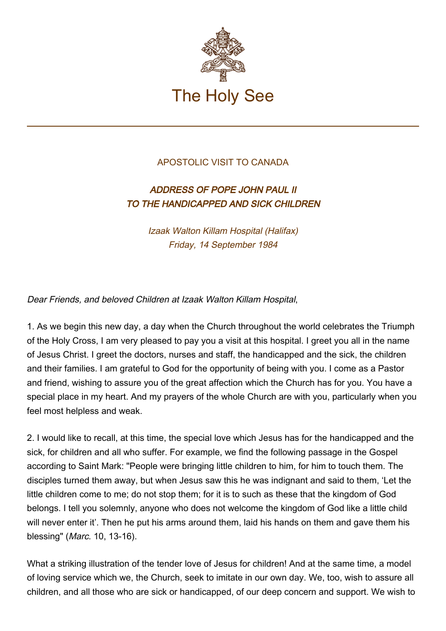

## APOSTOLIC VISIT TO CANADA

## ADDRESS OF POPE JOHN PAUL II TO THE HANDICAPPED AND SICK CHILDREN

Izaak Walton Killam Hospital (Halifax) Friday, 14 September 1984

Dear Friends, and beloved Children at Izaak Walton Killam Hospital,

1. As we begin this new day, a day when the Church throughout the world celebrates the Triumph of the Holy Cross, I am very pleased to pay you a visit at this hospital. I greet you all in the name of Jesus Christ. I greet the doctors, nurses and staff, the handicapped and the sick, the children and their families. I am grateful to God for the opportunity of being with you. I come as a Pastor and friend, wishing to assure you of the great affection which the Church has for you. You have a special place in my heart. And my prayers of the whole Church are with you, particularly when you feel most helpless and weak.

2. I would like to recall, at this time, the special love which Jesus has for the handicapped and the sick, for children and all who suffer. For example, we find the following passage in the Gospel according to Saint Mark: "People were bringing little children to him, for him to touch them. The disciples turned them away, but when Jesus saw this he was indignant and said to them, 'Let the little children come to me; do not stop them; for it is to such as these that the kingdom of God belongs. I tell you solemnly, anyone who does not welcome the kingdom of God like a little child will never enter it'. Then he put his arms around them, laid his hands on them and gave them his blessing" (Marc. 10, 13-16).

What a striking illustration of the tender love of Jesus for children! And at the same time, a model of loving service which we, the Church, seek to imitate in our own day. We, too, wish to assure all children, and all those who are sick or handicapped, of our deep concern and support. We wish to